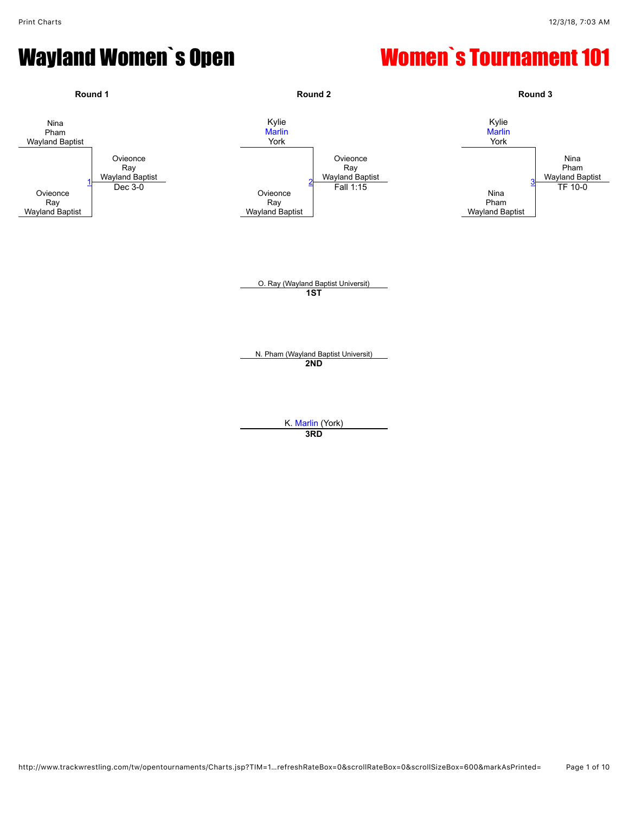

**3RD**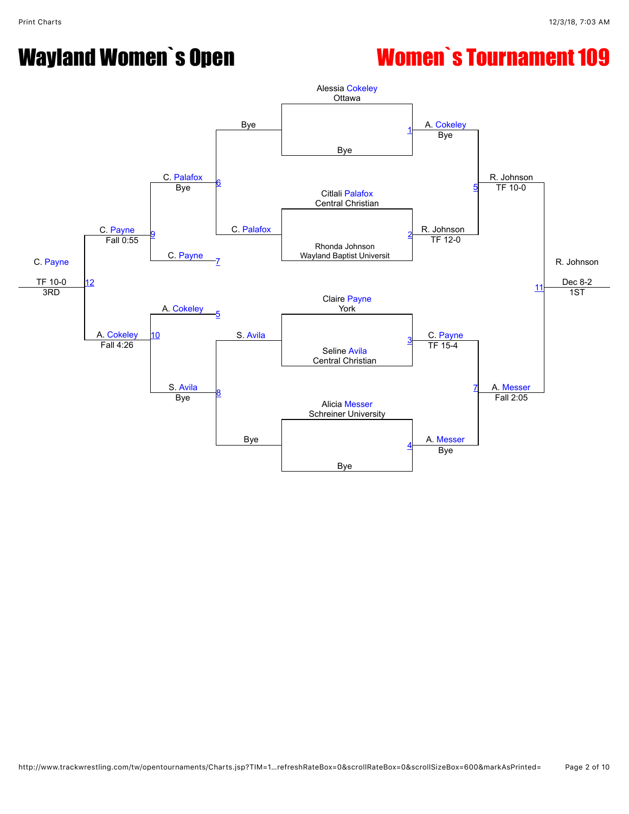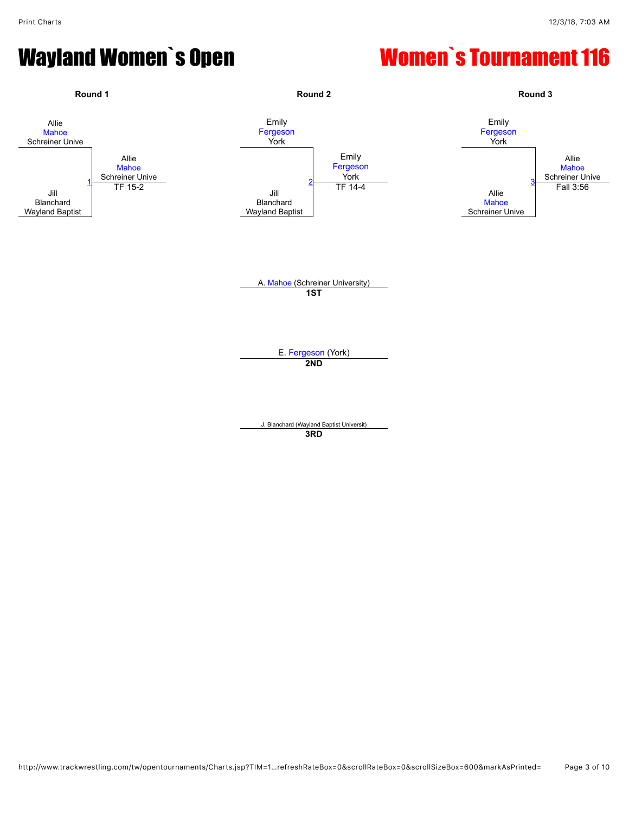

**3RD**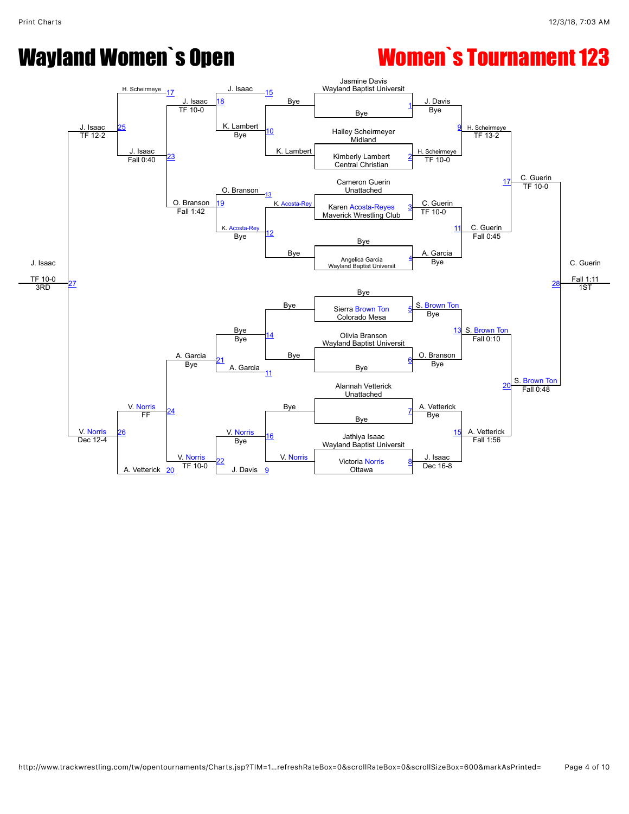

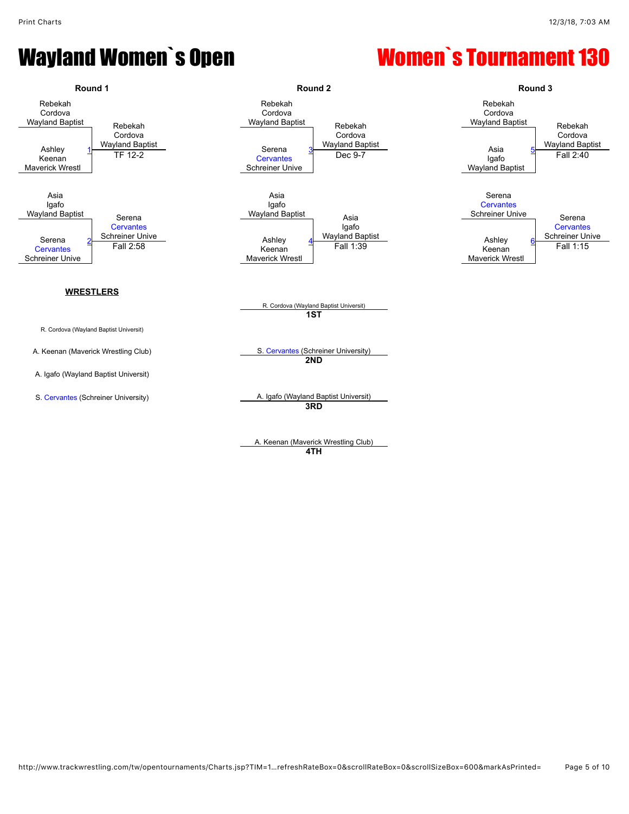

A. Keenan (Maverick Wrestling Club) **4TH**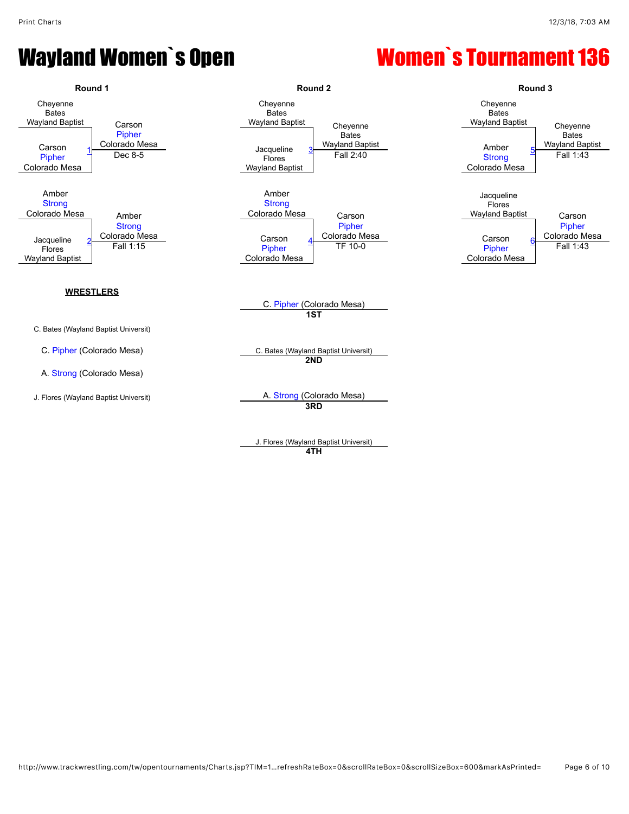

**4TH**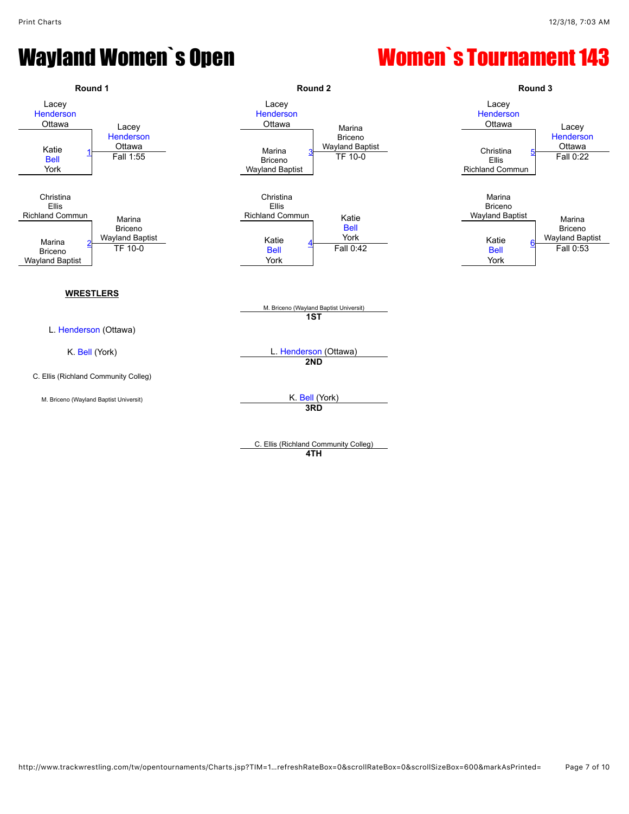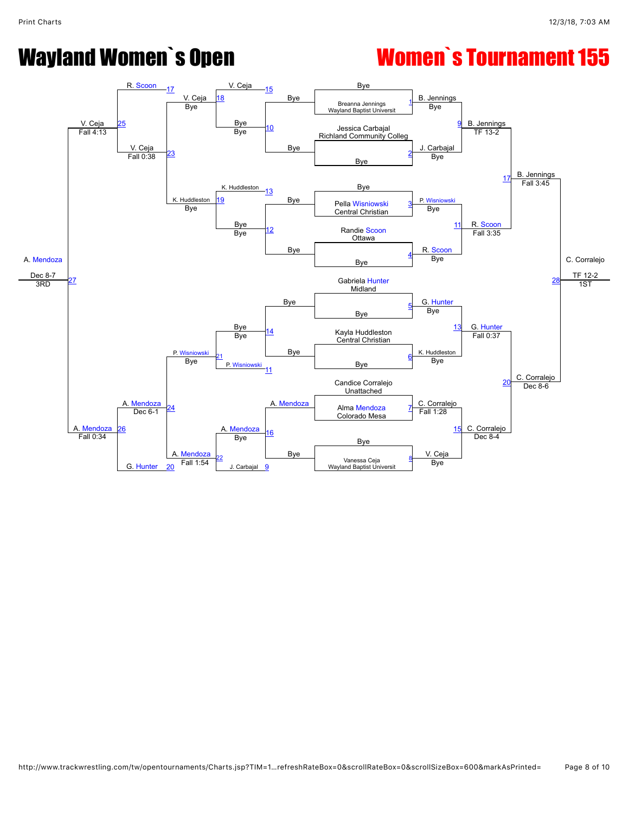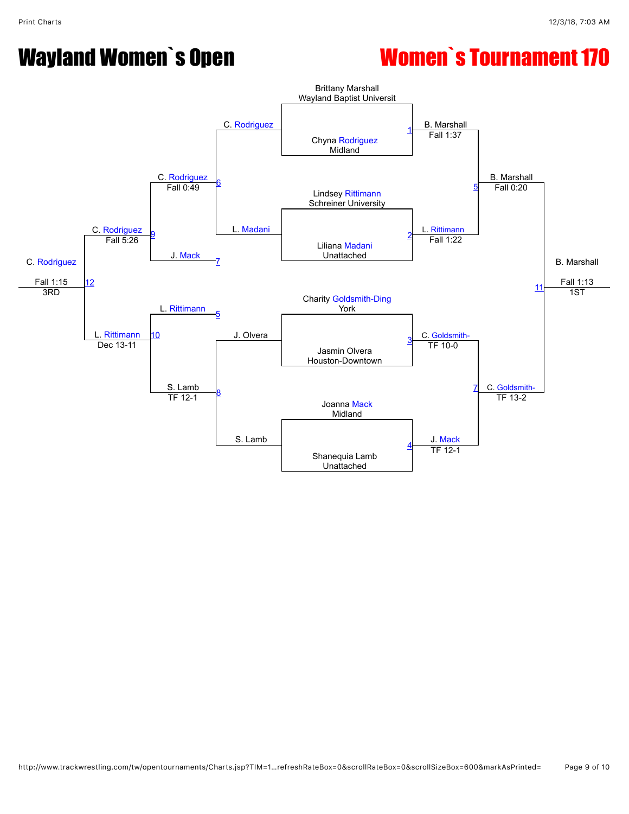